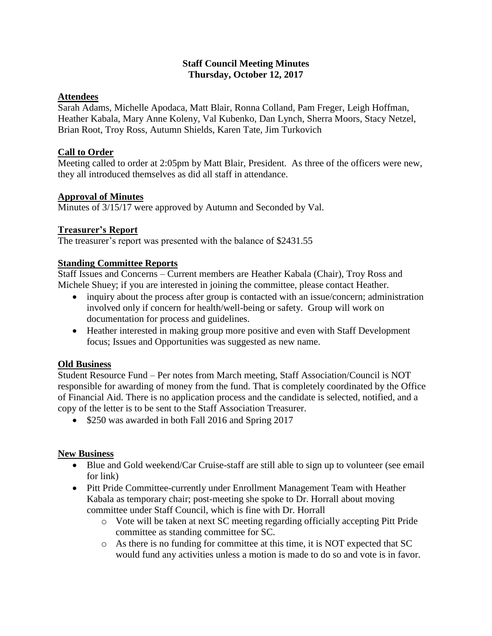## **Staff Council Meeting Minutes Thursday, October 12, 2017**

# **Attendees**

Sarah Adams, Michelle Apodaca, Matt Blair, Ronna Colland, Pam Freger, Leigh Hoffman, Heather Kabala, Mary Anne Koleny, Val Kubenko, Dan Lynch, Sherra Moors, Stacy Netzel, Brian Root, Troy Ross, Autumn Shields, Karen Tate, Jim Turkovich

## **Call to Order**

Meeting called to order at 2:05pm by Matt Blair, President. As three of the officers were new, they all introduced themselves as did all staff in attendance.

## **Approval of Minutes**

Minutes of 3/15/17 were approved by Autumn and Seconded by Val.

## **Treasurer's Report**

The treasurer's report was presented with the balance of \$2431.55

## **Standing Committee Reports**

Staff Issues and Concerns – Current members are Heather Kabala (Chair), Troy Ross and Michele Shuey; if you are interested in joining the committee, please contact Heather.

- inquiry about the process after group is contacted with an issue/concern; administration involved only if concern for health/well-being or safety. Group will work on documentation for process and guidelines.
- Heather interested in making group more positive and even with Staff Development focus; Issues and Opportunities was suggested as new name.

#### **Old Business**

Student Resource Fund – Per notes from March meeting, Staff Association/Council is NOT responsible for awarding of money from the fund. That is completely coordinated by the Office of Financial Aid. There is no application process and the candidate is selected, notified, and a copy of the letter is to be sent to the Staff Association Treasurer.

• \$250 was awarded in both Fall 2016 and Spring 2017

#### **New Business**

- Blue and Gold weekend/Car Cruise-staff are still able to sign up to volunteer (see email for link)
- Pitt Pride Committee-currently under Enrollment Management Team with Heather Kabala as temporary chair; post-meeting she spoke to Dr. Horrall about moving committee under Staff Council, which is fine with Dr. Horrall
	- o Vote will be taken at next SC meeting regarding officially accepting Pitt Pride committee as standing committee for SC.
	- o As there is no funding for committee at this time, it is NOT expected that SC would fund any activities unless a motion is made to do so and vote is in favor.